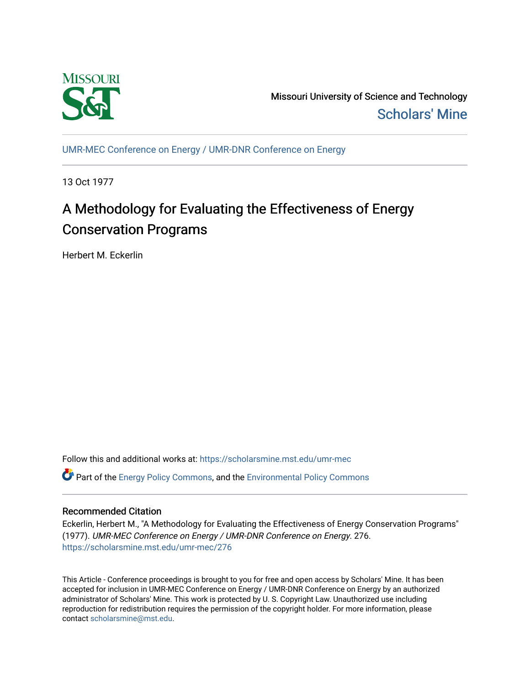

Missouri University of Science and Technology [Scholars' Mine](https://scholarsmine.mst.edu/) 

[UMR-MEC Conference on Energy / UMR-DNR Conference on Energy](https://scholarsmine.mst.edu/umr-mec)

13 Oct 1977

# A Methodology for Evaluating the Effectiveness of Energy Conservation Programs

Herbert M. Eckerlin

Follow this and additional works at: [https://scholarsmine.mst.edu/umr-mec](https://scholarsmine.mst.edu/umr-mec?utm_source=scholarsmine.mst.edu%2Fumr-mec%2F276&utm_medium=PDF&utm_campaign=PDFCoverPages)  **C** Part of the [Energy Policy Commons](http://network.bepress.com/hgg/discipline/1065?utm_source=scholarsmine.mst.edu%2Fumr-mec%2F276&utm_medium=PDF&utm_campaign=PDFCoverPages), and the Environmental Policy Commons

## Recommended Citation

Eckerlin, Herbert M., "A Methodology for Evaluating the Effectiveness of Energy Conservation Programs" (1977). UMR-MEC Conference on Energy / UMR-DNR Conference on Energy. 276. [https://scholarsmine.mst.edu/umr-mec/276](https://scholarsmine.mst.edu/umr-mec/276?utm_source=scholarsmine.mst.edu%2Fumr-mec%2F276&utm_medium=PDF&utm_campaign=PDFCoverPages) 

This Article - Conference proceedings is brought to you for free and open access by Scholars' Mine. It has been accepted for inclusion in UMR-MEC Conference on Energy / UMR-DNR Conference on Energy by an authorized administrator of Scholars' Mine. This work is protected by U. S. Copyright Law. Unauthorized use including reproduction for redistribution requires the permission of the copyright holder. For more information, please contact [scholarsmine@mst.edu](mailto:scholarsmine@mst.edu).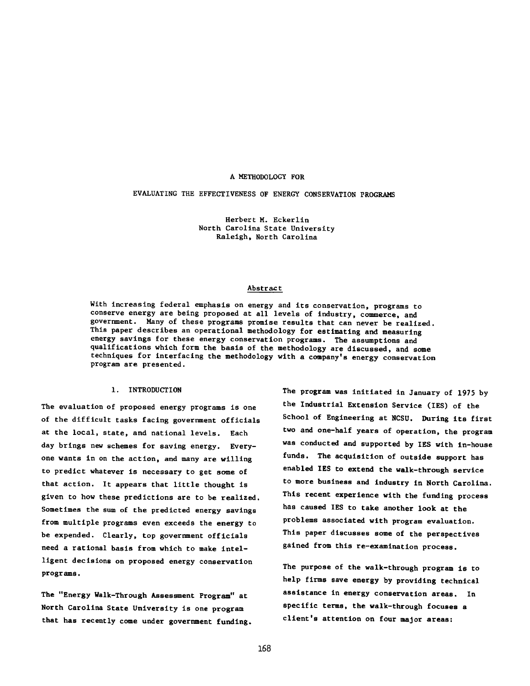## A METHODOLOGY FOR

EVALUATING THE EFFECTIVENESS OF ENERGY CONSERVATION PROGRAMS

**Herbert M. Eckerlin North Carolina State University Raleigh, North Carolina**

## **Abstract**

**With increasing federal emphasis on energy and its conservation, programs to conserve energy are being proposed at all levels of industry, commerce, and government. Many of these programs promise results that can never be realized. This paper describes an operational methodology for estimating and measuring energy savings for these energy conservation programs. The assumptions and qualifications which form the basis of the methodology are discussed, and some techniques for interfacing the methodology with a company's energy conservation program are presented.**

### **1. INTRODUCTION**

**The evaluation of proposed energy programs is one of the difficult tasks facing government officials at the local, state, and national levels. Each day brings new schemes for saving energy. Everyone wants in on the action, and many are willing to predict whatever is necessary to get some of that action. It appears that little thought is given to how these predictions are to be realized. Sometimes the sum of the predicted energy savings from multiple programs even exceeds the energy to be expended. Clearly, top government officials need a rational basis from which to make intelligent decisions on proposed energy conservation programs.**

**The "Energy Walk-Through Assessment Program" at North Carolina State University is one program that has recently come under government funding.** **The program was initiated in January of 1975 by the Industrial Extension Service (IES) of the School of Engineering at NCSU. During its first two and one-half years of operation, the program was conducted and supported by IES with In-house funds. The acquisition of outside support has enabled IES to extend the walk-through service to more business and industry in North Carolina. This recent experience with the funding process has caused IES to take another look at the problems associated with program evaluation. This paper discusses some of the perspectives gained from this re-examination process.**

**The purpose of the walk-through program is to help firms save energy by providing technical assistance in energy conservation areas. In specific terms, the walk-through focuses a client's attention on four major areas:**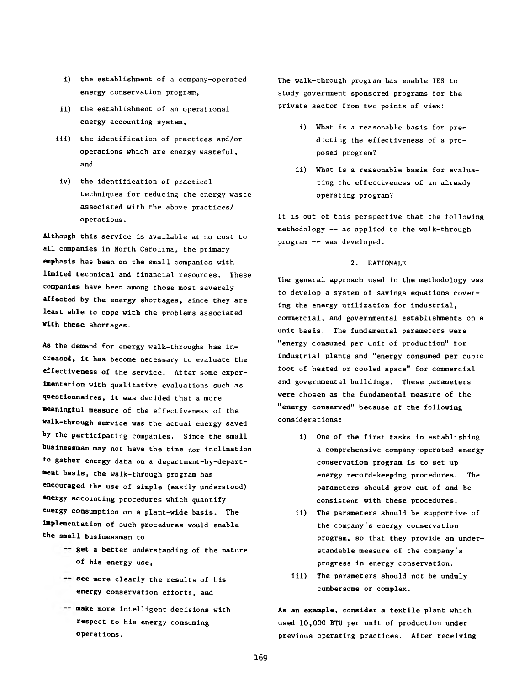- i) the establishment of a company-operated energy conservation program,
- ii) the establishment of an operational energy accounting system,
- iii) the identification of practices and/or operations which are energy wasteful, and
- iv) the identification of practical techniques for reducing the energy waste associated with the above practices/ operations.

Although this service is available at no cost to all companies in North Carolina, the primary emphasis has been on the small companies with limited technical and financial resources. These companies have been among those most severely affected by the energy shortages, since they are least able to cope with the problems associated with these shortages.

As the demand for energy walk-throughs has increased, it has become necessary to evaluate the effectiveness of the service. After some experimentation with qualitative evaluations such as questionnaires, it was decided that a more meaningful measure of the effectiveness of the walk-through service was the actual energy saved by the participating companies. Since the small businessman may not have the time nor inclination to gather energy data on a department-by-department basis, the walk-through program has encouraged the use of simple (easily understood) energy accounting procedures which quantify energy consumption on a plant-wide basis. The Implementation of such procedures would enable the small businessman to

- -- get a better understanding of the nature of his energy use,
- see more clearly the results of his energy conservation efforts, and
- -- make more intelligent decisions with respect to his energy consuming operations.

The walk-through program has enable IES to study government sponsored programs for the private sector from two points of view:

- i) What is a reasonable basis for predicting the effectiveness of a proposed program?
- ii) What is a reasonable basis for evaluating the effectiveness of an already operating program?

It is out of this perspective that the following methodology — as applied to the walk-through program -- was developed.

## 2. RATIONALE

The general approach used in the methodology was to develop a system of savings equations covering the energy utilization for industrial, commercial, and governmental establishments on a unit basis. The fundamental parameters were "energy consumed per unit of production" for industrial plants and "energy consumed per cubic foot of heated or cooled space" for commercial and governmental buildings. These parameters were chosen as the fundamental measure of the "energy conserved" because of the following considerations:

- i) One of the first tasks in establishing a comprehensive company-operated energy conservation program is to set up energy record-keeping procedures. The parameters should grow out of and be consistent with these procedures,
- ii) The parameters should be supportive of the company's energy conservation program, so that they provide an understandable measure of the company's progress in energy conservation,
- iii) The parameters should not be unduly cumbersome or complex.

As an example, consider a textile plant which used 10,000 BTU per unit of production under previous operating practices. After receiving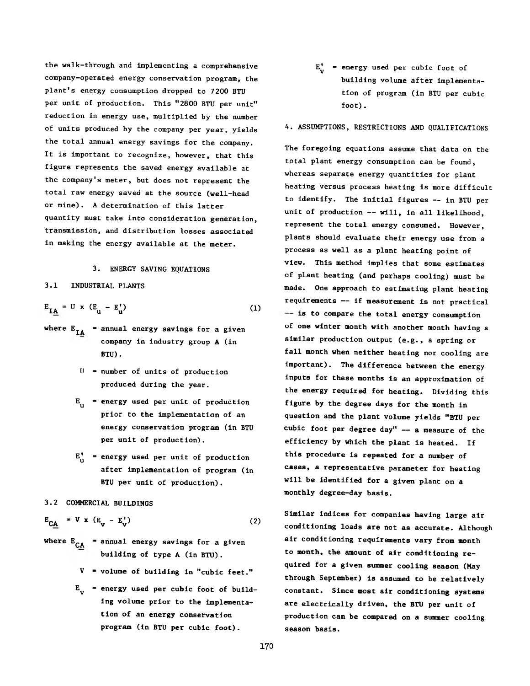the walk-through and implementing a comprehensive company-operated energy conservation program, the plant's energy consumption dropped to 7200 BTU per unit of production. This "2800 BTU per unit" reduction in energy use, multiplied by the number of units produced by the company per year, yields the total annual energy savings for the company. It is important to recognize, however, that this figure represents the saved energy available at the company's meter, but does not represent the total raw energy saved at the source (well-head or mine). A determination of this latter quantity must take into consideration generation, transmission, and distribution losses associated in making the energy available at the meter.

## 3. ENERGY SAVING EQUATIONS

3.1 INDUSTRIAL PLANTS

$$
E_{IA} = U \times (E_{u} - E_{u}^{\dagger})
$$
 (1)

- where  $E_{IA}$  = annual energy savings for a given company in industry group A (in BTU) .
	- $U =$  number of units of production produced during the year.
	- $E_{u}$  = energy used per unit of production prior to the implementation of an energy conservation program (in BTU per unit of production).
	- $E^{\dagger}_{n}$  = energy used per unit of production after implementation of program (in BTU per unit of production).
- 3.2 COMMERCIAL BUILDINGS

$$
E_{CA} = V \times (E_v - E_v^{+})
$$
 (2)

- where  $E_{CA}$  = annual energy savings for a given building of type A (in BTU).
	- $V = volume of building in "cubic feet."$
	- $E^{\text{}}_{\text{v}}$  = energy used per cubic foot of building volume prior to the implementation of an energy conservation program (in BTU per cubic foot).

 $E^{\dagger}$  = energy used per cubic foot of building volume after implementation of program (in BTU per cubic foot).

## 4. ASSUMPTIONS, RESTRICTIONS AND QUALIFICATIONS

The foregoing equations assume that data on the total plant energy consumption can be found, whereas separate energy quantities for plant heating versus process heating is more difficult to identify. The initial figures — in BTU per unit of production — will, in all likelihood, represent the total energy consumed. However, plants should evaluate their energy use from a process as well as a plant heating point of view. This method implies that some estimates of plant heating (and perhaps cooling) must be made. One approach to estimating plant heating requirements — if measurement is not practical -- is to compare the total energy consumption of one winter month with another month having a similar production output (e.g., a spring or fall month when neither heating nor cooling are important). The difference between the energy inputs for these months is an approximation of the energy required for heating. Dividing this figure by the degree days for the month in question and the plant volume yields "BTU per cubic foot per degree day" — a measure of the efficiency by which the plant is heated. If this procedure is repeated for a number of cases, a representative parameter for heating will be identified for a given plant on a monthly degree-day basis.

Similar indices for companies having large air conditioning loads are not as accurate. Although air conditioning requirements vary from month to month, the amount of air conditioning required for a given summer cooling season (May through September) is assumed to be relatively constant. Since most air conditioning systems are electrically driven, the BTU per unit of production can be compared on a summer cooling season basis.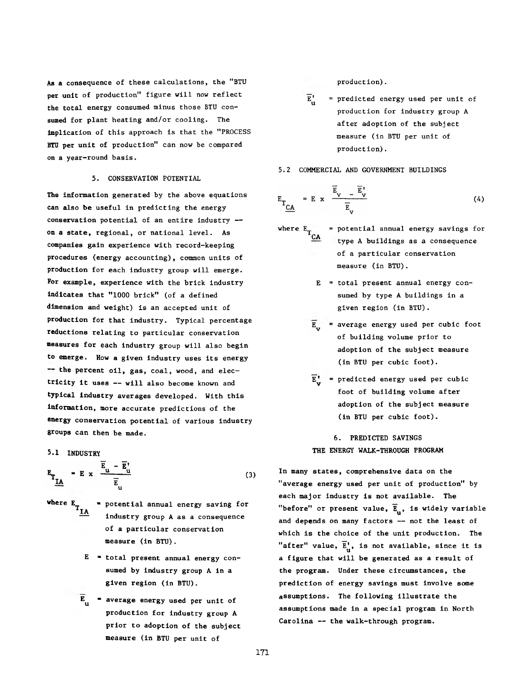As a consequence of these calculations, the "BTU production). per unit of production" figure will now reflect the total energy consumed minus those BTU consumed for plant heating and/or cooling. The implication of this approach is that the "PROCESS BTU per unit of production" can now be compared on a year-round basis.

## 5. CONSERVATION POTENTIAL

The information generated by the above equations can also be useful in predicting the energy conservation potential of an entire industry -on a state, regional, or national level. As companies gain experience with record-keeping procedures (energy accounting), common units of production for each industry group will emerge. For example, experience with the brick industry indicates that "1000 brick" (of a defined dimension and weight) is an accepted unit of production for that industry. Typical percentage reductions relating to particular conservation measures for each industry group will also begin to emerge. How a given industry uses its energy -- the percent oil, gas, coal, wood, and electricity it uses — will also become known and typical industry averages developed. With this information, more accurate predictions of the energy conservation potential of various industry groups can then be made.

5.1 INDUSTRY

$$
E_{\underline{T}_{\underline{I}\underline{A}}} = E \times \frac{\overline{E}_{\underline{u}} - \overline{E}_{\underline{u}}^{\dagger}}{\overline{E}_{\underline{u}}} \tag{3}
$$

- \* potential annual energy saving for where  $E_{T_{\underline{IA}}}$ industry group A as a consequence of a particular conservation measure (in BTU).
	- $E$  = total present annual energy consumed by industry group A in a given region (in BTU).
	- $\overline{E}_{\mu}$  = average energy used per unit of production for industry group A prior to adoption of the subject measure (in BTU per unit of

- $\overline{E}^{\dagger}$  = predicted energy used per unit of production for industry group A after adoption of the subject measure (in BTU per unit of production).
- 5.2 COMMERCIAL AND GOVERNMENT BUILDINGS

$$
E_{T_{\underline{CA}}} = E \times \frac{\overline{E}_{V} - \overline{E}_{V}^{*}}{\overline{E}_{V}}
$$
 (4)

- where E  $\mathsf{C} \mathbf{A}$ = potential annual energy savings for type A buildings as a consequence of a particular conservation measure (in BTU).
	- $E = total present annual energy con$ sumed by type A buildings in a given region (in BTU).
	- $\overline{E}_{v}$  = average energy used per cubic foot of building volume prior to adoption of the subject measure (in BTU per cubic foot).
	- $\overline{E}$  = predicted energy used per cubic foot of building volume after adoption of the subject measure (in BTU per cubic foot).

## 6. PREDICTED SAVINGS THE ENERGY WALK-THROUGH PROGRAM

In many states, comprehensive data on the "average energy used per unit of production" by each major industry is not available. The "before" or present value,  $\overline{E}_{u}$ , is widely variable and depends on many factors — not the least of which is the choice of the unit production. The "after" value,  $\overline{E}^{\dagger}_{u}$ , is not available, since it is a figure that will be generated as a result of the program. Under these circumstances, the prediction of energy savings must involve some assumptions. The following illustrate the assumptions made in a special program in North Carolina — the walk-through program.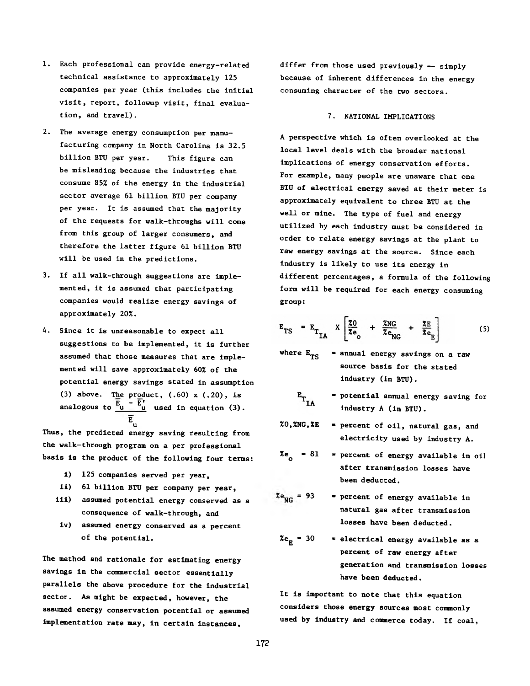- 1. Each professional can provide energy-related technical assistance to approximately 125 companies per year (this includes the initial visit, report, followup visit, final evaluation, and travel).
- 2. The average energy consumption per manufacturing company in North Carolina is 32.5 billion BTU per year. This figure can be misleading because the industries that consume 85% of the energy in the industrial sector average 61 billion BTU per company per year. It is assumed that the majority of the requests for walk-throughs will come from this group of larger consumers, and therefore the latter figure 61 billion BTU will be used in the predictions.
- 3. If all walk-through suggestions are implemented, it is assumed that participating companies would realize energy savings of approximately 20%.
- 4. Since it is unreasonable to expect all suggestions to be implemented, it is further assumed that those measures that are implemented will save approximately 60% of the potential energy savings stated in assumption (3) above. The product,  $(.60)$  x  $(.20)$ , is analogous to  $\frac{E_{u} - E^{t}}{u}$  used in equation (3). **E**

u Thus, the predicted energy saving resulting from the walk-through program on a per professional basis is the product of the following four terms:

- i) 125 companies served per year,
- ii) 61 billion BTU per company per year,
- iii) assumed potential energy conserved as a consequence of walk-through, and
- iv) assumed energy conserved as a percent of the potential.

The method and rationale for estimating energy savings in the commercial sector essentially parallels the above procedure for the industrial sector. As might be expected, however, the assumed energy conservation potential or assumed implementation rate may, in certain instances,

differ from those used previously — simply because of inherent differences in the energy consuming character of the two sectors.

### 7. NATIONAL IMPLICATIONS

A perspective which is often overlooked at the local level deals with the broader national implications of energy conservation efforts. For example, many people are unaware that one BTU of electrical energy saved at their meter is approximately equivalent to three BTU at the well or mine. The type of fuel and energy utilized by each industry must be considered in order to relate energy savings at the plant to raw energy savings at the source. Since each industry is likely to use its energy in different percentages, a formula of the following form will be required for each energy consuming group:

$$
E_{TS} = E_{T_{IA}} \times \left[ \frac{z_0}{z_e} + \frac{z_{NG}}{z_{NG}} + \frac{z_E}{z_{e_E}} \right]
$$
 (5)

- where  $E_{\text{TS}}$  = annual energy savings on a raw source basis for the stated industry (in BTU).
	- $=$  potential annual energy saving for  $\mathbf{E}_{\mathbf{T_{IA}}}$ industry A (in BTU).
- %0,%NG,%E \* percent of oil, natural gas, and electricity used by industry A.
- %e<sub>o</sub> = 81 = percent of energy available in oil after transmission losses have been deducted.
- $z_{\text{NG}}$  = 93 = percent of energy available in natural gas after transmission losses have been deducted.
- $\chi_{e_{\overline{R}}}$  = 30 = electrical energy available as a percent of raw energy after generation and transmission losses have been deducted.

**It is important to note that this equation considers those energy sources most commonly used by industry and commerce today. If coal,**